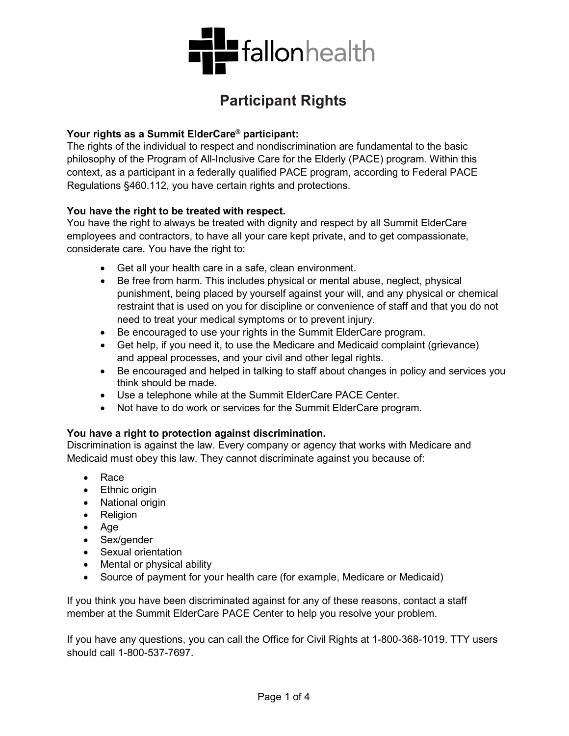

# **Participant Rights**

#### **Your rights as a Summit ElderCare® participant:**

The rights of the individual to respect and nondiscrimination are fundamental to the basic philosophy of the Program of All-Inclusive Care for the Elderly (PACE) program. Within this context, as a participant in a federally qualified PACE program, according to Federal PACE Regulations §460.112, you have certain rights and protections.

#### **You have the right to be treated with respect.**

You have the right to always be treated with dignity and respect by all Summit ElderCare employees and contractors, to have all your care kept private, and to get compassionate, considerate care. You have the right to:

- Get all your health care in a safe, clean environment.
- Be free from harm. This includes physical or mental abuse, neglect, physical punishment, being placed by yourself against your will, and any physical or chemical restraint that is used on you for discipline or convenience of staff and that you do not need to treat your medical symptoms or to prevent injury.
- Be encouraged to use your rights in the Summit ElderCare program.
- Get help, if you need it, to use the Medicare and Medicaid complaint (grievance) and appeal processes, and your civil and other legal rights.
- Be encouraged and helped in talking to staff about changes in policy and services you think should be made.
- Use a telephone while at the Summit ElderCare PACE Center.
- Not have to do work or services for the Summit ElderCare program.

#### **You have a right to protection against discrimination.**

Discrimination is against the law. Every company or agency that works with Medicare and Medicaid must obey this law. They cannot discriminate against you because of:

- Race
- Ethnic origin
- National origin
- Religion
- Age
- Sex/gender
- Sexual orientation
- Mental or physical ability
- Source of payment for your health care (for example, Medicare or Medicaid)

If you think you have been discriminated against for any of these reasons, contact a staff member at the Summit ElderCare PACE Center to help you resolve your problem.

If you have any questions, you can call the Office for Civil Rights at 1-800-368-1019. TTY users should call 1-800-537-7697.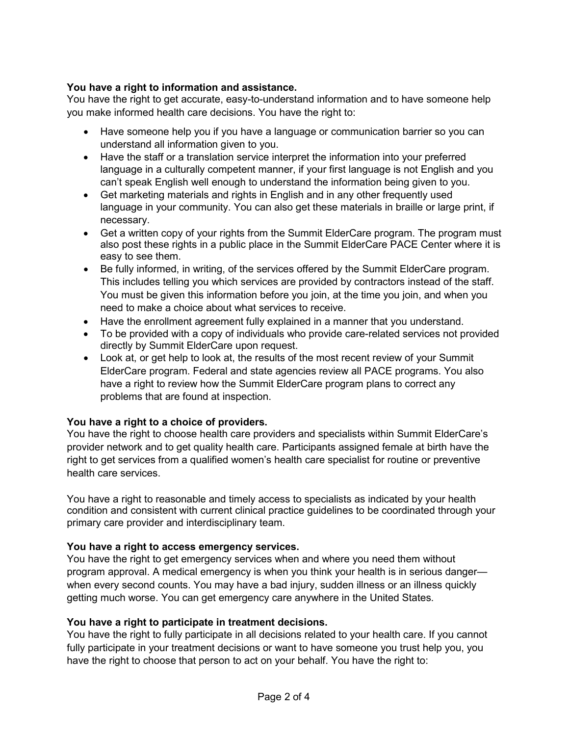# **You have a right to information and assistance.**

You have the right to get accurate, easy-to-understand information and to have someone help you make informed health care decisions. You have the right to:

- Have someone help you if you have a language or communication barrier so you can understand all information given to you.
- Have the staff or a translation service interpret the information into your preferred language in a culturally competent manner, if your first language is not English and you can't speak English well enough to understand the information being given to you.
- Get marketing materials and rights in English and in any other frequently used language in your community. You can also get these materials in braille or large print, if necessary.
- Get a written copy of your rights from the Summit ElderCare program. The program must also post these rights in a public place in the Summit ElderCare PACE Center where it is easy to see them.
- Be fully informed, in writing, of the services offered by the Summit ElderCare program. This includes telling you which services are provided by contractors instead of the staff. You must be given this information before you join, at the time you join, and when you need to make a choice about what services to receive.
- Have the enrollment agreement fully explained in a manner that you understand.
- To be provided with a copy of individuals who provide care-related services not provided directly by Summit ElderCare upon request.
- Look at, or get help to look at, the results of the most recent review of your Summit ElderCare program. Federal and state agencies review all PACE programs. You also have a right to review how the Summit ElderCare program plans to correct any problems that are found at inspection.

# **You have a right to a choice of providers.**

You have the right to choose health care providers and specialists within Summit ElderCare's provider network and to get quality health care. Participants assigned female at birth have the right to get services from a qualified women's health care specialist for routine or preventive health care services.

You have a right to reasonable and timely access to specialists as indicated by your health condition and consistent with current clinical practice guidelines to be coordinated through your primary care provider and interdisciplinary team.

# **You have a right to access emergency services.**

You have the right to get emergency services when and where you need them without program approval. A medical emergency is when you think your health is in serious danger when every second counts. You may have a bad injury, sudden illness or an illness quickly getting much worse. You can get emergency care anywhere in the United States.

# **You have a right to participate in treatment decisions.**

You have the right to fully participate in all decisions related to your health care. If you cannot fully participate in your treatment decisions or want to have someone you trust help you, you have the right to choose that person to act on your behalf. You have the right to: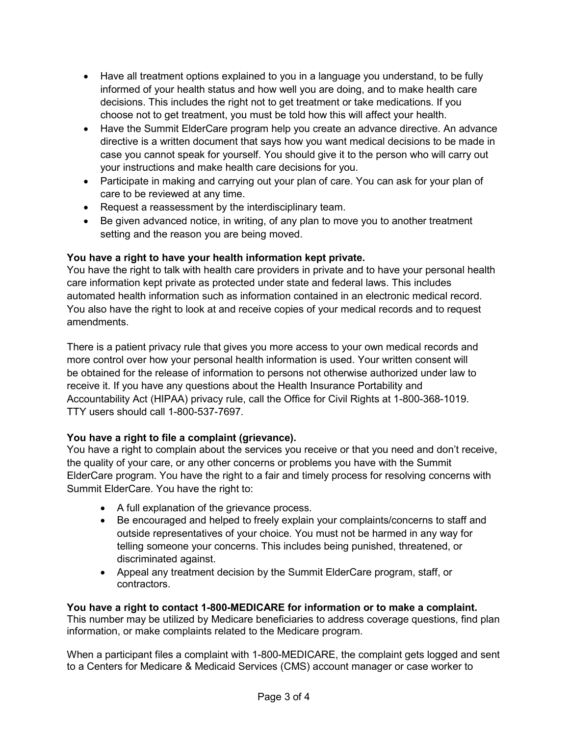- Have all treatment options explained to you in a language you understand, to be fully informed of your health status and how well you are doing, and to make health care decisions. This includes the right not to get treatment or take medications. If you choose not to get treatment, you must be told how this will affect your health.
- Have the Summit ElderCare program help you create an advance directive. An advance directive is a written document that says how you want medical decisions to be made in case you cannot speak for yourself. You should give it to the person who will carry out your instructions and make health care decisions for you.
- Participate in making and carrying out your plan of care. You can ask for your plan of care to be reviewed at any time.
- Request a reassessment by the interdisciplinary team.
- Be given advanced notice, in writing, of any plan to move you to another treatment setting and the reason you are being moved.

# **You have a right to have your health information kept private.**

You have the right to talk with health care providers in private and to have your personal health care information kept private as protected under state and federal laws. This includes automated health information such as information contained in an electronic medical record. You also have the right to look at and receive copies of your medical records and to request amendments.

There is a patient privacy rule that gives you more access to your own medical records and more control over how your personal health information is used. Your written consent will be obtained for the release of information to persons not otherwise authorized under law to receive it. If you have any questions about the Health Insurance Portability and Accountability Act (HIPAA) privacy rule, call the Office for Civil Rights at 1-800-368-1019. TTY users should call 1-800-537-7697.

# **You have a right to file a complaint (grievance).**

You have a right to complain about the services you receive or that you need and don't receive, the quality of your care, or any other concerns or problems you have with the Summit ElderCare program. You have the right to a fair and timely process for resolving concerns with Summit ElderCare. You have the right to:

- A full explanation of the grievance process.
- Be encouraged and helped to freely explain your complaints/concerns to staff and outside representatives of your choice. You must not be harmed in any way for telling someone your concerns. This includes being punished, threatened, or discriminated against.
- Appeal any treatment decision by the Summit ElderCare program, staff, or contractors.

# **You have a right to contact 1-800-MEDICARE for information or to make a complaint.**

This number may be utilized by Medicare beneficiaries to address coverage questions, find plan information, or make complaints related to the Medicare program.

When a participant files a complaint with 1-800-MEDICARE, the complaint gets logged and sent to a Centers for Medicare & Medicaid Services (CMS) account manager or case worker to